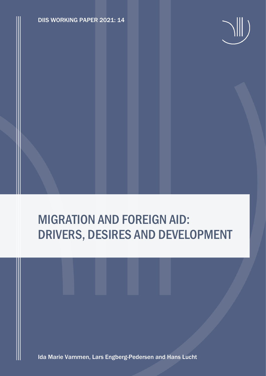DIIS WORKING PAPER 2021: 14



# MIGRATION AND FOREIGN AID: DRIVERS, DESIRES AND DEVELOPMENT

Ida Marie Vammen, Lars Engberg-Pedersen and Hans Lucht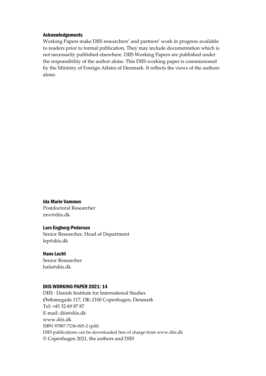#### Acknowledgements

Working Papers make DIIS researchers' and partners' work in progress available to readers prior to formal publication. They may include documentation which is not necessarily published elsewhere. DIIS Working Papers are published under the responsibility of the author alone. This DIIS working paper is commissioned by the Ministry of Foreign Affairs of Denmark. It reflects the views of the authors alone.

Ida Marie Vammen Postdoctoral Researcher imv@diis.dk

#### Lars Engberg-Pedersen

Senior Researcher, Head of Department lep@diis.dk

Hans Lucht Senior Researcher halu@diis.dk

## DIIS WORKING PAPER 2021: 14

DIIS · Danish Institute for International Studies Østbanegade 117, DK-2100 Copenhagen, Denmark Tel: +45 32 69 87 87 E-mail: diis@diis.dk www.diis.dk ISBN 97887-7236-065-2 (pdf) DIIS publications can be downloaded free of charge from www.diis.dk © Copenhagen 2021, the authors and DIIS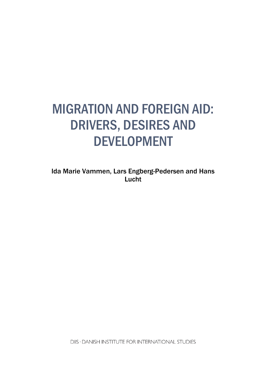# MIGRATION AND FOREIGN AID: DRIVERS, DESIRES AND DEVELOPMENT

Ida Marie Vammen, Lars Engberg-Pedersen and Hans Lucht

DIIS · DANISH INSTITUTE FOR INTERNATIONAL STUDIES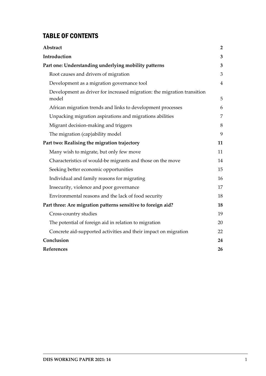# TABLE OF CONTENTS

| Abstract                                                                         | $\overline{2}$ |
|----------------------------------------------------------------------------------|----------------|
| Introduction                                                                     | 3              |
| Part one: Understanding underlying mobility patterns                             | 3              |
| Root causes and drivers of migration                                             | 3              |
| Development as a migration governance tool                                       | $\overline{4}$ |
| Development as driver for increased migration: the migration transition<br>model | 5              |
| African migration trends and links to development processes                      | 6              |
| Unpacking migration aspirations and migrations abilities                         | 7              |
| Migrant decision-making and triggers                                             | 8              |
| The migration (cap)ability model                                                 | 9              |
| Part two: Realising the migration trajectory                                     | 11             |
| Many wish to migrate, but only few move                                          | 11             |
| Characteristics of would-be migrants and those on the move                       | 14             |
| Seeking better economic opportunities                                            | 15             |
| Individual and family reasons for migrating                                      | 16             |
| Insecurity, violence and poor governance                                         | 17             |
| Environmental reasons and the lack of food security                              | 18             |
| Part three: Are migration patterns sensitive to foreign aid?                     | 18             |
| Cross-country studies                                                            | 19             |
| The potential of foreign aid in relation to migration                            | 20             |
| Concrete aid-supported activities and their impact on migration                  | 22             |
| Conclusion                                                                       | 24             |
| References                                                                       | 26             |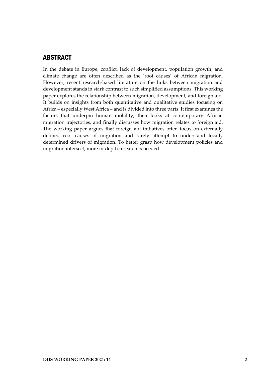# <span id="page-4-0"></span>ABSTRACT

In the debate in Europe, conflict, lack of development, population growth, and climate change are often described as the 'root causes' of African migration. However, recent research-based literature on the links between migration and development stands in stark contrast to such simplified assumptions. This working paper explores the relationship between migration, development, and foreign aid. It builds on insights from both quantitative and qualitative studies focusing on Africa – especially West Africa – and is divided into three parts. It first examines the factors that underpin human mobility, then looks at contemporary African migration trajectories, and finally discusses how migration relates to foreign aid. The working paper argues that foreign aid initiatives often focus on externally defined root causes of migration and rarely attempt to understand locally determined drivers of migration. To better grasp how development policies and migration intersect, more in-depth research is needed.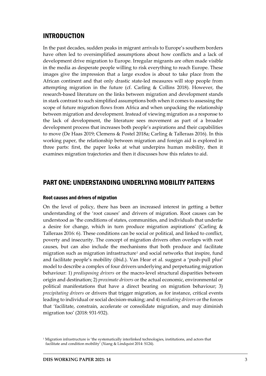## <span id="page-5-0"></span>INTRODUCTION

In the past decades, sudden peaks in migrant arrivals to Europe's southern borders have often led to oversimplified assumptions about how conflicts and a lack of development drive migration to Europe. Irregular migrants are often made visible in the media as desperate people willing to risk everything to reach Europe. These images give the impression that a large exodos is about to take place from the African continent and that only drastic state-led measures will stop people from attempting migration in the future (cf. Carling & Collins 2018). However, the research-based literature on the links between migration and development stands in stark contrast to such simplified assumptions both when it comes to assessing the scope of future migration flows from Africa and when unpacking the relationship between migration and development. Instead of viewing migration as a response to the lack of development, the literature sees movement as part of a broader development process that increases both people's aspirations and their capabilities to move (De Haas 2019; Clemens & Postel 2018a; Carling & Talleraas 2016). In this working paper, the relationship between migration and foreign aid is explored in three parts: first, the paper looks at what underpins human mobility, then it examines migration trajectories and then it discusses how this relates to aid.

## <span id="page-5-1"></span>PART ONE: UNDERSTANDING UNDERLYING MOBILITY PATTERNS

#### <span id="page-5-2"></span>Root causes and drivers of migration

On the level of policy, there has been an increased interest in getting a better understanding of the 'root causes' and drivers of migration. Root causes can be understood as 'the conditions of states, communities, and individuals that underlie a desire for change, which in turn produce migration aspirations' (Carling & Talleraas 2016: 6). These conditions can be social or political, and linked to conflict, poverty and insecurity. The concept of migration drivers often overlaps with root causes, but can also include the mechanisms that both produce and facilitate migration such as migration infrastructure<sup>[1](#page-5-3)</sup> and social networks that inspire, fund and facilitate people's mobility (ibid.). Van Hear et al. suggest a 'push-pull plus' model to describe a complex of four drivers underlying and perpetuating migration behaviour: 1) *predisposing drivers* or the macro-level structural disparities between origin and destination; 2) *proximate drivers* or the actual economic, environmental or political manifestations that have a direct bearing on migration behaviour; 3) *precipitating drivers* or drivers that trigger migration, as for instance, critical events leading to individual or social decision-making; and 4) *mediating drivers* or the forces that 'facilitate, constrain, accelerate or consolidate migration, and may diminish migration too' (2018: 931-932).

<span id="page-5-3"></span> $1$  Migration infrastructure is 'the systematically interlinked technologies, institutions, and actors that facilitate and condition mobility' (Xiang & Lindquist 2014: S124).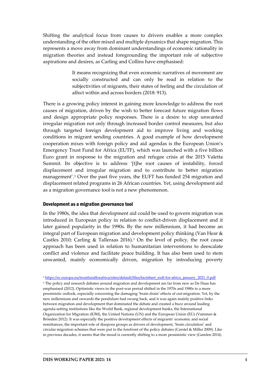Shifting the analytical focus from causes to drivers enables a more complex understanding of the often mixed and multiple dynamics that shape migration. This represents a move away from dominant understandings of economic rationality in migration theories and instead foregrounding the important role of subjective aspirations and desires, as Carling and Collins have emphasised:

> It means recognizing that even economic narratives of movement are socially constructed and can only be read in relation to the subjectivities of migrants, their states of feeling and the circulation of affect within and across borders (2018: 913).

There is a growing policy interest in gaining more knowledge to address the root causes of migration, driven by the wish to better forecast future migration flows and design appropriate policy responses. There is a desire to stop unwanted irregular migration not only through increased border control measures, but also through targeted foreign development aid to improve living and working conditions in migrant sending countries. A good example of how development cooperation mixes with foreign policy and aid agendas is the European Union's Emergency Trust Fund for Africa (EUTF), which was launched with a five billion Euro grant in response to the migration and refugee crisis at the 2015 Valetta Summit. Its objective is to address '[t]he root causes of instability, forced displacement and irregular migration and to contribute to better migration management'.[2](#page-6-1) Over the past five years, the EUFT has funded 254 migration and displacement related programs in 26 African countries. Yet, using development aid as a migration governance tool is not a new phenomenon.

#### <span id="page-6-0"></span>Development as a migration governance tool

In the 1980s, the idea that development aid could be used to govern migration was introduced in European policy in relation to conflict-driven displacement and it later gained popularity in the 1990s. By the new millennium, it had become an integral part of European migration and development policy thinking (Van Hear & Castles 2010; Carling & Talleraas 2016).[3](#page-6-2) On the level of policy, the root cause approach has been used in relation to humanitarian interventions to deescalate conflict and violence and facilitate peace building. It has also been used to stem unwanted, mainly economically driven, migration by introducing poverty

<sup>2</sup> [https://ec.europa.eu/trustfundforafrica/sites/default/files/factsheet\\_eutf-for-africa\\_january\\_2021\\_0.pdf](https://ec.europa.eu/trustfundforafrica/sites/default/files/factsheet_eutf-for-africa_january_2021_0.pdf)

<span id="page-6-2"></span><span id="page-6-1"></span><sup>3</sup> The policy and research debates around migration and development are far from new as De Haas has emphasised (2012). Optimistic views in the post-war period shifted in the 1970s and 1980s to a more pessimistic outlook, especially concerning the damaging 'brain drain' effects of out-migration. Yet, by the new millennium and onwards the pendulum had swung back, and it was again mainly positive links between migration and development that dominated the debate and created a buzz around leading agenda-setting institutions like the World Bank, regional development banks, the International Organization for Migration (IOM), the United Nations (UN) and the European Union (EU) (Vammen & Brönden 2012). It was especially the positive development effects of migrants' economic and social remittances, the important role of diaspora groups as drivers of development, 'brain circulation' and circular migration schemes that were put to the forefront of the policy debates (Carstel & Miller 2009). Like in previous decades, it seems that the mood is currently shifting to a more pessimistic view (Gamlen 2014).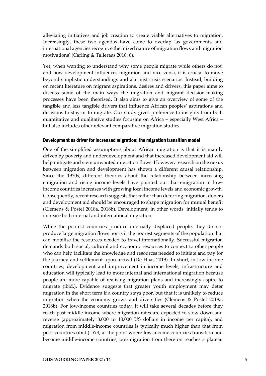alleviating initiatives and job creation to create viable alternatives to migration. Increasingly, these two agendas have come to overlap 'as governments and international agencies recognize the mixed nature of migration flows and migration motivations' (Carling & Talleraas 2016: 6).

Yet, when wanting to understand why some people migrate while others do not, and how development influences migration and vice versa, it is crucial to move beyond simplistic understandings and alarmist crisis scenarios. Instead, building on recent literature on migrant aspirations, desires and drivers, this paper aims to discuss some of the main ways the migration and migrant decision-making processes have been theorised. It also aims to give an overview of some of the tangible and less tangible drivers that influence African peoples' aspirations and decisions to stay or to migrate. Our study gives preference to insights from both quantitative and qualitative studies focusing on Africa – especially West Africa – but also includes other relevant comparative migration studies.

#### <span id="page-7-0"></span>Development as driver for increased migration: the migration transition model

One of the simplified assumptions about African migration is that it is mainly driven by poverty and underdevelopment and that increased development aid will help mitigate and stem unwanted migration flows. However, research on the nexus between migration and development has shown a different causal relationship. Since the 1970s, different theories about the relationship between increasing emigration and rising income levels have pointed out that emigration in lowincome countries increases with growing local income levels and economic growth. Consequently, recent research suggests that rather than deterring migration, doners and development aid should be encouraged to shape migration for mutual benefit (Clemens & Postel 2018a, 2018b). Development, in other words, initially tends to increase both internal and international migration.

While the poorest countries produce internally displaced people, they do not produce large migration flows nor is it the poorest segments of the population that can mobilise the resources needed to travel internationally. Successful migration demands both social, cultural and economic resources to connect to other people who can help facilitate the knowledge and resources needed to initiate and pay for the journey and settlement upon arrival (De Haas 2019). In short, in low-income countries, development and improvement in income levels, infrastructure and education will typically lead to more internal and international migration because people are more capable of realising migration plans and increasingly aspire to migrate (ibid.). Evidence suggests that greater youth employment may deter migration in the short term if a country stays poor, but that it is unlikely to reduce migration when the economy grows and diversifies (Clemens & Postel 2018a, 2018b). For low-income countries today, it will take several decades before they reach past middle income where migration rates are expected to slow down and reverse (approximately 8,000 to 10,000 US dollars in income per capita), and migration from middle-income countries is typically much higher than that from poor countries (ibid.). Yet, at the point where low-income countries transition and become middle-income countries, out-migration from there on reaches a plateau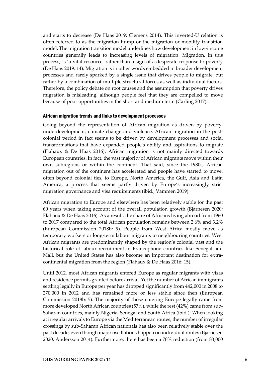and starts to decrease (De Haas 2019; Clemens 2014). This inverted-U relation is often referred to as the migration hump or the migration or mobility transition model. The migration transition model underlines how development in low-income countries generally leads to increasing levels of migration. Migration, in this process, is 'a vital resource' rather than a sign of a desperate response to poverty (De Haas 2019: 14). Migration is in other words embedded in broader development processes and rarely sparked by a single issue that drives people to migrate, but rather by a combination of multiple structural forces as well as individual factors. Therefore, the policy debate on root causes and the assumption that poverty drives migration is misleading, although people feel that they are compelled to move because of poor opportunities in the short and medium term (Carling 2017).

#### <span id="page-8-0"></span>African migration trends and links to development processes

Going beyond the representation of African migration as driven by poverty, underdevelopment, climate change and violence, African migration in the postcolonial period in fact seems to be driven by development processes and social transformations that have expanded people's ability and aspirations to migrate (Flahaux & De Haas 2016). African migration is not mainly directed towards European countries. In fact, the vast majority of African migrants move within their own subregions or within the continent. That said, since the 1980s, African migration out of the continent has accelerated and people have started to move, often beyond colonial ties, to Europe, North America, the Gulf, Asia and Latin America, a process that seems partly driven by Europe's increasingly strict migration governance and visa requirements (ibid.; Vammen 2019).

African migration to Europe and elsewhere has been relatively stable for the past 60 years when taking account of the overall population growth (Bjarnesen 2020; Flahaux & De Haas 2016). As a result, the share of Africans living abroad from 1960 to 2017 compared to the total African population remains between 2.6% and 3.2% (European Commission 2018b: 9). People from West Africa mostly move as temporary workers or long-term labour migrants to neighbouring countries. West African migrants are predominantly shaped by the region's colonial past and the historical role of labour recruitment in Francophone countries like Senegal and Mali, but the United States has also become an important destination for extracontinental migration from the region (Flahaux & De Haas 2016: 15).

Until 2012, most African migrants entered Europe as regular migrants with visas and residence permits granted before arrival. Yet the number of African immigrants settling legally in Europe per year has dropped significantly from 442,000 in 2008 to 270,000 in 2012 and has remained more or less stable since then (European Commission 2018b: 5). The majority of those entering Europe legally came from more developed North African countries (57%), while the rest (42%) came from sub-Saharan countries, mainly Nigeria, Senegal and South Africa (ibid.). When looking at irregular arrivals to Europe via the Mediterranean routes, the number of irregular crossings by sub-Saharan African nationals has also been relatively stable over the past decade, even though major oscillations happen on individual routes (Bjarnesen 2020; Andersson 2014). Furthermore, there has been a 70% reduction (from 83,000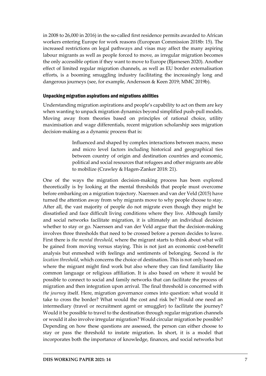in 2008 to 26,000 in 2016) in the so-called first residence permits awarded to African workers entering Europe for work reasons (European Commission 2018b: 15). The increased restrictions on legal pathways and visas may affect the many aspiring labour migrants as well as people forced to move, as irregular migration becomes the only accessible option if they want to move to Europe (Bjarnesen 2020). Another effect of limited regular migration channels, as well as EU border externalisation efforts, is a booming smuggling industry facilitating the increasingly long and dangerous journeys (see, for example, Andersson & Keen 2019; MMC 2019b).

### <span id="page-9-0"></span>Unpacking migration aspirations and migrations abilities

Understanding migration aspirations and people's capability to act on them are key when wanting to unpack migration dynamics beyond simplified push-pull models. Moving away from theories based on principles of rational choice, utility maximisation and wage differentials, recent migration scholarship sees migration decision-making as a dynamic process that is:

> Influenced and shaped by complex interactions between macro, meso and micro level factors including historical and geographical ties between country of origin and destination countries and economic, political and social resources that refugees and other migrants are able to mobilize (Crawley & Hagen-Zanker 2018: 21).

One of the ways the migration decision-making process has been explored theoretically is by looking at the mental thresholds that people must overcome before embarking on a migration trajectory. Naerssen and van der Veld (2015) have turned the attention away from why migrants move to why people choose to stay. After all, the vast majority of people do not migrate even though they might be dissatisfied and face difficult living conditions where they live. Although family and social networks facilitate migration, it is ultimately an individual decision whether to stay or go. Naerssen and van der Veld argue that the decision-making involves three thresholds that need to be crossed before a person decides to leave. First there is *the mental threshold,* where the migrant starts to think about what will be gained from moving versus staying. This is not just an economic cost-benefit analysis but enmeshed with feelings and sentiments of belonging. Second is *the location threshold*, which concerns the choice of destination. This is not only based on where the migrant might find work but also where they can find familiarity like common language or religious affiliation. It is also based on where it would be possible to connect to social and family networks that can facilitate the process of migration and then integration upon arrival. The final threshold is concerned with *the journey* itself. Here, migration governance comes into question: what would it take to cross the border? What would the cost and risk be? Would one need an intermediary (travel or recruitment agent or smuggler) to facilitate the journey? Would it be possible to travel to the destination through regular migration channels or would it also involve irregular migration? Would circular migration be possible? Depending on how these questions are assessed, the person can either choose to stay or pass the threshold to instate migration. In short, it is a model that incorporates both the importance of knowledge, finances, and social networks but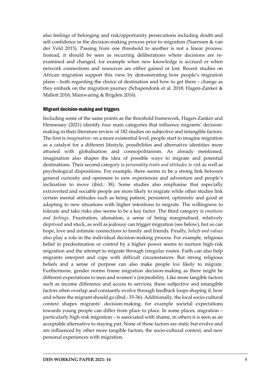also feelings of belonging and risk/opportunity persecutions including doubt and self-confidence in the decision-making process prior to migration (Naerssen & van der Veld 2015). Passing from one threshold to another is not a linear process. Instead, it should be seen as recurring deliberations where decisions are reexamined and changed, for example when new knowledge is accrued or when network connections and resources are either gained or lost. Recent studies on African migration support this view by demonstrating how people's migration plans – both regarding the choice of destination and how to get there – change as they embark on the migration journey (Schapendonk et al. 2018; Hagen-Zanker & Mallett 2016; Mainwaring & Brigden 2016).

#### <span id="page-10-0"></span>Migrant decision-making and triggers

Including some of the same points as the threshold framework, Hagen-Zanker and Hennessey (2021) identify four main categories that influence migrants' decisionmaking in their literature review of 182 studies on subjective and intangible factors. The first is *imagination:* on a more existential level, people start to imagine migration as a catalyst for a different lifestyle, possibilities and alternative identities more attuned with globalisation and cosmopolitanism. As already mentioned, imagination also shapes the idea of possible ways to migrate and potential destinations. Their second category is *personality traits and attitudes to risk* as well as psychological dispositions. For example, there seems to be a strong link between general curiosity and openness to new experiences and adventure and people's inclination to move (ibid.: 38). Some studies also emphasise that especially extraverted and sociable people are more likely to migrate while other studies link certain mental attitudes such as being patient, persistent, optimistic and good at adapting to new situations with higher intentions to migrate. The willingness to tolerate and take risks also seems to be a key factor. The third category is *emotions and feelings.* Frustration, alienation, a sense of being marginalised, relatively deprived and stuck, as well as jealousy can trigger migration (see below), but so can hope, love and intimate connections to family and friends. Finally, *beliefs and values* also play a role in the individual decision-making process. For example, religious belief in predestination or control by a higher power seems to nurture high-risk migration and the attempt to migrate through irregular routes. Faith can also help migrants interpret and cope with difficult circumstances. But strong religious beliefs and a sense of purpose can also make people *less* likely to migrate. Furthermore, gender norms frame migration decision-making as there might be different expectations to men and women's (im)mobility. Like more tangible factors such as income difference and access to services, these subjective and intangible factors often overlap and constantly evolve through feedback loops shaping if, how and where the migrant should go (ibid.: 35-36). Additionally, the local socio-cultural context shapes migrants' decision-making, for example societal expectations towards young people can differ from place to place. In some places, migration – particularly high-risk migration – is associated with shame, in others it is seen as an acceptable alternative to staying put. None of these factors are static but evolve and are influenced by other more tangible factors, the socio-cultural context, and new personal experiences with migration.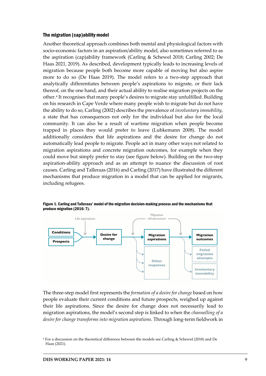#### <span id="page-11-0"></span>The migration (cap)ability model

Another theoretical approach combines both mental and physiological factors with socio-economic factors in an aspiration/ability model, also sometimes referred to as the aspiration (cap)ability framework (Carling & Schewel 2018; Carling 2002; De Haas 2021, 2019). As described, development typically leads to increasing levels of migration because people both become more capable of moving but also aspire more to do so (De Haas 2019). The model refers to a two-step approach that analytically differentiates between people's aspirations to migrate, or their lack thereof, on the one hand, and their actual ability to realise migration projects on the other.[4](#page-11-1) It recognises that many people's desires to migrate stay unfulfilled. Building on his research in Cape Verde where many people wish to migrate but do not have the ability to do so, Carling (2002) describes the prevalence of *involuntary immobility*, a state that has consequences not only for the individual but also for the local community. It can also be a result of wartime migration when people become trapped in places they would prefer to leave (Lubkemann 2008). The model additionally considers that life aspirations and the desire for change do not automatically lead people to migrate. People act in many other ways not related to migration aspirations and concrete migration outcomes, for example when they could move but simply prefer to stay (see figure below). Building on the two-step aspiration-ability approach and as an attempt to nuance the discussion of root causes. Carling and Talleraas (2016) and Carling (2017) have illustrated the different mechanisms that produce migration in a model that can be applied for migrants, including refugees.



Figure 1. Carling and Talleraas' model of the migration decision-making process and the mechanisms that produce migration (2016: 7).

The three-step model first represents the *formation of a desire for change* based on how people evaluate their current conditions and future prospects, weighed up against their life aspirations. Since the desire for change does not necessarily lead to migration aspirations, the model's second step is linked to when the *channelling of a desire for change transforms into migration aspirations*. Through long-term fieldwork in

<span id="page-11-1"></span><sup>4</sup> For a discussion on the theoretical difference between the models see Carling & Schewel (2018) and De Haas (2021).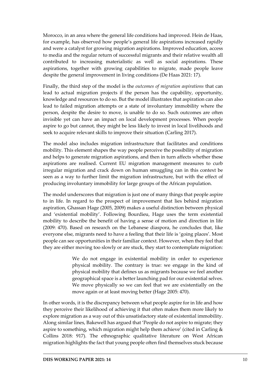Morocco, in an area where the general life conditions had improved. Hein de Haas, for example, has observed how people's general life aspirations increased rapidly and were a catalyst for growing migration aspirations. Improved education, access to media and the regular return of successful migrants and their relative wealth all contributed to increasing materialistic as well as social aspirations. These aspirations, together with growing capabilities to migrate, made people leave despite the general improvement in living conditions (De Haas 2021: 17).

Finally, the third step of the model is the *outcomes of migration aspirations* that can lead to actual migration projects if the person has the capability, opportunity, knowledge and resources to do so. But the model illustrates that aspiration can also lead to failed migration attempts or a state of involuntary immobility where the person, despite the desire to move, is unable to do so. Such outcomes are often invisible yet can have an impact on local development processes. When people aspire to go but cannot, they might be less likely to invest in local livelihoods and seek to acquire relevant skills to improve their situation (Carling 2017).

The model also includes migration infrastructure that facilitates and conditions mobility. This element shapes the way people perceive the possibility of migration and helps to generate migration aspirations, and then in turn affects whether these aspirations are realised. Current EU migration management measures to curb irregular migration and crack down on human smuggling can in this context be seen as a way to further limit the migration infrastructure, but with the effect of producing involuntary immobility for large groups of the African population.

The model underscores that migration is just one of many things that people aspire to in life. In regard to the prospect of improvement that lies behind migration aspiration, Ghassan Hage (2005, 2009) makes a useful distinction between physical and 'existential mobility'. Following Bourdieu, Hage uses the term existential mobility to describe the benefit of having a sense of motion and direction in life (2009: 470). Based on research on the Lebanese diaspora, he concludes that, like everyone else, migrants need to have a feeling that their life is 'going places'. Most people can see opportunities in their familiar context. However, when they feel that they are either moving too slowly or are stuck, they start to contemplate migration:

> We do not engage in existential mobility in order to experience physical mobility. The contrary is true: we engage in the kind of physical mobility that defines us as migrants because we feel another geographical space is a better launching pad for our existential selves. We move physically so we can feel that we are existentially on the move again or at least moving better (Hage 2005: 470).

In other words, it is the discrepancy between what people aspire for in life and how they perceive their likelihood of achieving it that often makes them more likely to explore migration as a way out of this unsatisfactory state of existential immobility. Along similar lines, Bakewell has argued that 'People do not aspire to migrate; they aspire to something, which migration might help them achieve' (cited in Carling & Collins 2018: 917). The ethnographic qualitative literature on West African migration highlights the fact that young people often find themselves stuck because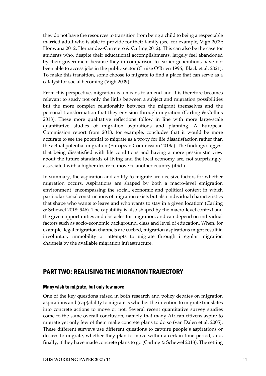they do not have the resources to transition from being a child to being a respectable married adult who is able to provide for their family (see, for example, Vigh 2009; Honwana 2012; Hernandez-Carretero & Carling 2012). This can also be the case for students who, despite their educational accomplishments, largely feel abandoned by their government because they in comparison to earlier generations have not been able to access jobs in the public sector (Cruise O'Brien 1996; Black et al. 2021). To make this transition, some choose to migrate to find a place that can serve as a catalyst for social becoming (Vigh 2009).

From this perspective, migration is a means to an end and it is therefore becomes relevant to study not only the links between a subject and migration possibilities but the more complex relationship between the migrant themselves and the personal transformation that they envision through migration (Carling & Collins 2018). These more qualitative reflections follow in line with more large-scale quantitative studies of migration aspirations and planning. A European Commission report from 2018, for example, concludes that it would be more accurate to see the potential to migrate as a proxy for life dissatisfaction rather than the actual potential migration (European Commission 2018a). The findings suggest that being dissatisfied with life conditions and having a more pessimistic view about the future standards of living and the local economy are, not surprisingly, associated with a higher desire to move to another country (ibid.).

In summary, the aspiration and ability to migrate are decisive factors for whether migration occurs. Aspirations are shaped by both a macro-level emigration environment 'encompassing the social, economic and political context in which particular social constructions of migration exists but also individual characteristics that shape who wants to leave and who wants to stay in a given location' (Carling & Schewel 2018: 946). The capability is also shaped by the macro-level context and the given opportunities and obstacles for migration, and can depend on individual factors such as socio-economic background, class and level of education. When, for example, legal migration channels are curbed, migration aspirations might result in involuntary immobility or attempts to migrate through irregular migration channels by the available migration infrastructure.

# <span id="page-13-0"></span>PART TWO: REALISING THE MIGRATION TRAJECTORY

## <span id="page-13-1"></span>Many wish to migrate, but only few move

One of the key questions raised in both research and policy debates on migration aspirations and (cap)ability to migrate is whether the intention to migrate translates into concrete actions to move or not. Several recent quantitative survey studies come to the same overall conclusion, namely that many African citizens aspire to migrate yet only few of them make concrete plans to do so (van Dalen et al. 2005). These different surveys use different questions to capture people's aspirations or desires to migrate, whether they plan to move within a certain time period, and, finally, if they have made concrete plans to go (Carling & Schewel 2018). The setting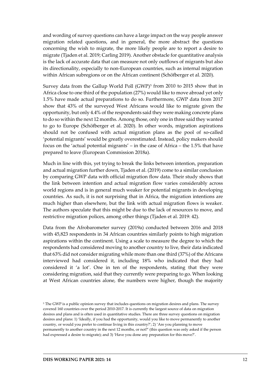and wording of survey questions can have a large impact on the way people answer migration related questions, and in general, the more abstract the questions concerning the wish to migrate, the more likely people are to report a desire to migrate (Tjaden et al. 2019; Carling 2019). Another obstacle for quantitative analysis is the lack of accurate data that can measure not only outflows of migrants but also its directionality, especially to non-European countries, such as internal migration within African subregions or on the African continent (Schöfberger et al. 2020).

Survey data from the Gallup World Poll (GWP)<sup>[5](#page-14-0)</sup> from 2010 to 2015 show that in Africa close to one third of the population (27%) would like to move abroad yet only 1.5% have made actual preparations to do so. Furthermore, GWP data from 2017 show that 43% of the surveyed West Africans would like to migrate given the opportunity, but only 4.4% of the respondents said they were making concrete plans to do so within the next 12 months. Among those, only one in three said they wanted to go to Europe (Schöfberger et al. 2020). In other words, migration aspirations should not be confused with actual migration plans as the pool of so-called 'potential migrants' would be greatly overestimated. Instead, policy makers should focus on the 'actual potential migrants' – in the case of Africa – the 1.5% that have prepared to leave (European Commission 2018a).

Much in line with this, yet trying to break the links between intention, preparation and actual migration further down, Tjaden et al. (2019) come to a similar conclusion by comparing GWP data with official migration flow data. Their study shows that the link between intention and actual migration flow varies considerably across world regions and is in general much weaker for potential migrants in developing countries. As such, it is not surprising that in Africa, the migration intentions are much higher than elsewhere, but the link with actual migration flows is weaker. The authors speculate that this might be due to the lack of resources to move, and restrictive migration polices, among other things (Tjaden et al. 2019: 42).

Data from the Afrobarometer survey (2019a) conducted between 2016 and 2018 with 45,823 respondents in 34 African countries similarly points to high migration aspirations within the continent. Using a scale to measure the degree to which the respondents had considered moving to another country to live, their data indicated that 63% did not consider migrating while more than one third (37%) of the Africans interviewed had considered it, including 18% who indicated that they had considered it 'a lot'. One in ten of the respondents, stating that they were considering migration, said that they currently were preparing to go. When looking at West African countries alone, the numbers were higher, though the majority

<span id="page-14-0"></span><sup>&</sup>lt;sup>5</sup> The GWP is a public opinion survey that includes questions on migration desires and plans. The survey covered 160 countries over the period 2010-2017. It is currently the largest source of data on migration desires and plans and is often used in quantitative studies. There are three survey questions on migration desires and plans: 1) 'Ideally, if you had the opportunity, would you like to move permanently to another country, or would you prefer to continue living in this country?'; 2) 'Are you planning to move permanently to another country in the next 12 months, or not?' (this question was only asked if the person had expressed a desire to migrate); and 3) 'Have you done any preparation for this move?'.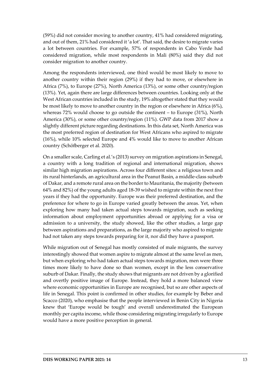(59%) did not consider moving to another country, 41% had considered migrating, and out of them, 21% had considered it 'a lot'. That said, the desire to migrate varies a lot between countries. For example, 57% of respondents in Cabo Verde had considered migration, while most respondents in Mali (80%) said they did not consider migration to another country.

Among the respondents interviewed, one third would be most likely to move to another country within their region (29%) if they had to move, or elsewhere in Africa (7%), to Europe (27%), North America (13%), or some other country/region (13%). Yet, again there are large differences between countries. Looking only at the West African countries included in the study, 19% altogether stated that they would be most likely to move to another country in the region or elsewhere in Africa (6%), whereas 72% would choose to go outside the continent – to Europe (31%), North America (30%), or some other country/region (11%). GWP data from 2017 show a slightly different picture regarding destinations. In this data set, North America was the most preferred region of destination for West Africans who aspired to migrate (16%), while 10% selected Europe and 4% would like to move to another African country (Schöfberger et al. 2020).

On a smaller scale, Carling et al.'s (2013) survey on migration aspirations in Senegal, a country with a long tradition of regional and international migration, shows similar high migration aspirations. Across four different sites: a religious town and its rural hinterlands, an agricultural area in the Peanut Basin, a middle-class suburb of Dakar, and a remote rural area on the border to Mauritania, the majority (between 64% and 82%) of the young adults aged 18-39 wished to migrate within the next five years if they had the opportunity. Europe was their preferred destination, and the preference for where to go in Europe varied greatly between the areas. Yet, when exploring how many had taken actual steps towards migration, such as seeking information about employment opportunities abroad or applying for a visa or admission to a university, the study showed, like the other studies, a large gap between aspirations and preparations, as the large majority who aspired to migrate had not taken any steps towards preparing for it, nor did they have a passport.

While migration out of Senegal has mostly consisted of male migrants, the survey interestingly showed that women aspire to migrate almost at the same level as men, but when exploring who had taken actual steps towards migration, men were three times more likely to have done so than women, except in the less conservative suburb of Dakar. Finally, the study shows that migrants are not driven by a glorified and overtly positive image of Europe. Instead, they hold a more balanced view where economic opportunities in Europe are recognised, but so are other aspects of life in Senegal. This point is confirmed in other studies, for example by Beber and Scacco (2020), who emphasise that the people interviewed in Benin City in Nigeria knew that 'Europe would be tough' and overall underestimated the European monthly per capita income, while those considering migrating irregularly to Europe would have a more positive perception in general.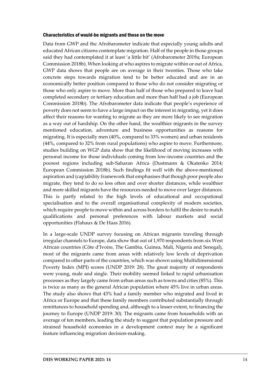#### <span id="page-16-0"></span>Characteristics of would-be migrants and those on the move

Data from GWP and the Afrobarometer indicate that especially young adults and educated African citizens contemplate migration. Half of the people in those groups said they had contemplated it at least 'a little bit' (Afrobarometer 2019a; European Commission 2018b). When looking at who aspires to migrate within or out of Africa, GWP data shows that people are on average in their twenties. Those who take concrete steps towards migration tend to be better educated and are in an economically better position compared to those who do not consider migrating or those who only aspire to move. More than half of those who prepared to leave had completed secondary or tertiary education and more than half had a job (European Commission 2018b). The Afrobarometer data indicate that people's experience of poverty does not seem to have a large impact on the interest in migrating, yet it does affect their reasons for wanting to migrate as they are more likely to see migration as a way out of hardship. On the other hand, the wealthier migrants in the survey mentioned education, adventure and business opportunities as reasons for migrating. It is especially men (40%, compared to 33% women) and urban residents (44%, compared to 32% from rural populations) who aspire to move. Furthermore, studies building on WGP data show that the likelihood of moving increases with personal income for those individuals coming from low-income countries and the poorest regions including sub-Saharan Africa (Dustmann & Okatenko 2014; European Commission 2018b). Such findings fit well with the above-mentioned aspiration and (cap)ability framework that emphasises that though poor people also migrate, they tend to do so less often and over shorter distances, while wealthier and more skilled migrants have the resources needed to move over larger distances. This is partly related to the high levels of educational and occupational specialisation and to the overall organisational complexity of modern societies, which require people to move within and across borders to fulfil the desire to match qualifications and personal preferences with labour markets and social opportunities (Flahaux & De Haas 2016).

In a large-scale UNDP survey focusing on African migrants traveling through irregular channels to Europe, data show that out of 1,970 respondents from six West African countries (Côte d'Ivoire, The Gambia, Guinea, Mali, Nigeria and Senegal), most of the migrants came from areas with relatively low levels of deprivation compared to other parts of the countries, which was shown using Multidimensional Poverty Index (MPI) scores (UNDP 2019: 28). The great majority of respondents were young, male and single. Their mobility seemed linked to rapid urbanisation processes as they largely came from urban areas such as towns and cities (85%). This is twice as many as the general African population where 45% live in urban areas. The study also shows that 43% had a family member who migrated and lived in Africa or Europe and that these family members contributed substantially through remittances to household spending and, although to a lesser extent, to financing the journey to Europe (UNDP 2019: 30). The migrants came from households with an average of ten members, leading the study to suggest that population pressure and strained household economies in a development context may be a significant feature influencing migration decision-making.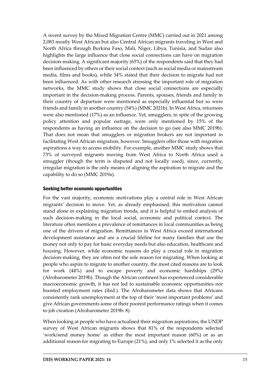A recent survey by the Mixed Migration Centre (MMC) carried out in 2021 among 2,083 mostly West African but also Central African migrants traveling in West and North Africa through Burkina Faso, Mali, Niger, Libya, Tunisia, and Sudan also highlights the large influence that close social connections can have on migration decision-making. A significant majority (65%) of the respondents said that they had been influenced by others or their social context (such as social media or mainstream media, films and books), while 34% stated that their decision to migrate had not been influenced. As with other research stressing the important role of migration networks, the MMC study shows that close social connections are especially important in the decision-making process. Parents, spouses, friends and family in their country of departure were mentioned as especially influential but so were friends and family in another country (54%) (MMC 2021b). In West Africa, returnees were also mentioned (17%) as an influence. Yet, smugglers, in spite of the growing policy attention and popular outrage, were only mentioned by 15% of the respondents as having an influence on the decision to go (see also MMC 2019b). That does not mean that smugglers or migration brokers are not important in facilitating West African migration, however. Smugglers offer those with migration aspirations a way to access mobility. For example, another MMC study shows that 73% of surveyed migrants moving from West Africa to North Africa used a smuggler (though the term is disputed and not locally used), since, currently, irregular migration is the only means of aligning the aspiration to migrate and the capability to do so (MMC 2019a).

#### <span id="page-17-0"></span>Seeking better economic opportunities

For the vast majority, economic motivations play a central role in West African migrants' decision to move. Yet, as already emphasised, this motivation cannot stand alone in explaining migration trends, and it is helpful to embed analysis of such decision-making in the local social, economic and political context. The literature often mentions a prevalence of remittances in local communities as being one of the drivers of migration. Remittances in West Africa exceed international development assistance and are a crucial lifeline for many families that use the money not only to pay for basic everyday needs but also education, healthcare and housing. However, while economic reasons do play a crucial role in migration decision-making, they are often not the sole reason for migrating. When looking at people who aspire to migrate to another country, the most cited reasons are to look for work (44%) and to escape poverty and economic hardships (29%) (Afrobarometer 2019b). Though the African continent has experienced considerable macroeconomic growth, it has not led to sustainable economic opportunities nor boosted employment rates (ibid.). The Afrobarometer data shows that Africans consistently rank unemployment at the top of their 'most important problems' and give African governments some of their poorest performance ratings when it comes to job creation (Afrobarometer 2019b: 8).

When looking at people who have actualised their migration aspirations, the UNDP survey of West African migrants shows that 81% of the respondents selected 'work/send money home' as either the most important reason (60%) or as an additional reason for migrating to Europe (21%), and only 1% selected it as the only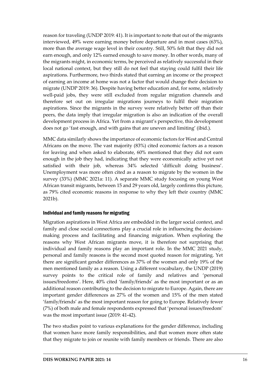reason for traveling (UNDP 2019: 41). It is important to note that out of the migrants interviewed, 49% were earning money before departure and in most cases (63%), more than the average wage level in their country. Still, 50% felt that they did not earn enough, and only 12% earned enough to save money. In other words, many of the migrants might, in economic terms, be perceived as relatively successful in their local national context, but they still do not feel that staying could fulfil their life aspirations. Furthermore, two thirds stated that earning an income or the prospect of earning an income at home was not a factor that would change their decision to migrate (UNDP 2019: 36). Despite having better education and, for some, relatively well-paid jobs, they were still excluded from regular migration channels and therefore set out on irregular migrations journeys to fulfil their migration aspirations. Since the migrants in the survey were relatively better off than their peers, the data imply that irregular migration is also an indication of the overall development process in Africa. Yet from a migrant's perspective, this development does not go 'fast enough, and with gains that are uneven and limiting' (ibid.).

MMC data similarly shows the importance of economic factors for West and Central Africans on the move. The vast majority (83%) cited economic factors as a reason for leaving and when asked to elaborate, 60% mentioned that they did not earn enough in the job they had, indicating that they were economically active yet not satisfied with their job, whereas 34% selected 'difficult doing business'. Unemployment was more often cited as a reason to migrate by the women in the survey (33%) (MMC 2021a: 11). A separate MMC study focusing on young West African transit migrants, between 15 and 29 years old, largely confirms this picture, as 79% cited economic reasons in response to why they left their country (MMC 2021b).

## <span id="page-18-0"></span>Individual and family reasons for migrating

Migration aspirations in West Africa are embedded in the larger social context, and family and close social connections play a crucial role in influencing the decisionmaking process and facilitating and financing migration. When exploring the reasons why West African migrants move, it is therefore not surprising that individual and family reasons play an important role. In the MMC 2021 study, personal and family reasons is the second most quoted reason for migrating. Yet there are significant gender differences as 37% of the women and only 19% of the men mentioned family as a reason. Using a different vocabulary, the UNDP (2019) survey points to the critical role of family and relatives and 'personal issues/freedoms'. Here, 40% cited 'family/friends' as the most important or as an additional reason contributing to the decision to migrate to Europe. Again, there are important gender differences as 27% of the women and 15% of the men stated 'family/friends' as the most important reason for going to Europe. Relatively fewer (7%) of both male and female respondents expressed that 'personal issues/freedom' was the most important issue (2019: 41-42).

The two studies point to various explanations for the gender difference, including that women have more family responsibilities, and that women more often state that they migrate to join or reunite with family members or friends. There are also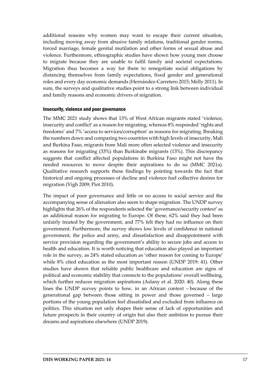additional reasons why women may want to escape their current situation, including moving away from abusive family relations, traditional gender norms, forced marriage, female genital mutilation and other forms of sexual abuse and violence. Furthermore, ethnographic studies have shown how young men choose to migrate because they are unable to fulfil family and societal expectations. Migration thus becomes a way for them to renegotiate social obligations by distancing themselves from family expectations, fixed gender and generational roles and every day economic demands (Hernández-Carretero 2015; Melly 2011). In sum, the surveys and qualitative studies point to a strong link between individual and family reasons and economic drivers of migration.

#### <span id="page-19-0"></span>Insecurity, violence and poor governance

The MMC 2021 study shows that 13% of West African migrants stated 'violence, insecurity and conflict' as a reason for migrating, whereas 8% responded 'rights and freedoms' and 7% 'access to services/corruption' as reasons for migrating. Breaking the numbers down and comparing two countries with high levels of insecurity, Mali and Burkina Faso, migrants from Mali more often selected violence and insecurity as reasons for migrating (33%) than Burkinabe migrants (13%). This discrepancy suggests that conflict affected populations in Burkina Faso might not have the needed resources to move despite their aspirations to do so (MMC 2021a). Qualitative research supports these findings by pointing towards the fact that historical and ongoing processes of decline and violence fuel collective desires for migration (Vigh 2009; Piot 2010).

The impact of poor governance and little or no access to social service and the accompanying sense of alienation also seem to shape migration. The UNDP survey highlights that 26% of the respondents selected the 'governance/security context' as an additional reason for migrating to Europe. Of these, 62% said they had been unfairly treated by the government, and 77% felt they had no influence on their government. Furthermore, the survey shows low levels of confidence in national government, the police and army, and dissatisfaction and disappointment with service provision regarding the government's ability to secure jobs and access to health and education. It is worth noticing that education also played an important role in the survey, as 24% stated education as 'other reason for coming to Europe' while 8% cited education as the most important reason (UNDP 2019: 41). Other studies have shown that reliable public healthcare and education are signs of political and economic stability that connects to the populations' overall wellbeing, which further reduces migration aspirations (Aslany et al. 2020: 40). Along these lines the UNDP survey points to how, in an African context – because of the generational gap between those sitting in power and those governed – large portions of the young population feel dissatisfied and excluded from influence on politics. This situation not only shapes their sense of lack of opportunities and future prospects in their country of origin but also their ambition to pursue their dreams and aspirations elsewhere (UNDP 2019).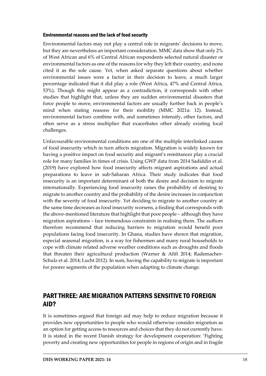#### <span id="page-20-0"></span>Environmental reasons and the lack of food security

Environmental factors may not play a central role in migrants' decisions to move, but they are nevertheless an important consideration. MMC data show that only 2% of West African and 6% of Central African respondents selected natural disaster or environmental factors as one of the reasons for why they left their country, and none cited it as the sole cause. Yet, when asked separate questions about whether environmental issues were a factor in their decision to leave, a much larger percentage indicated that it did play a role (West Africa, 47% and Central Africa, 53%). Though this might appear as a contradiction, it corresponds with other studies that highlight that, unless they are sudden environmental disasters that force people to move, environmental factors are usually further back in people's mind when stating reasons for their mobility (MMC 2021a: 12). Instead, environmental factors combine with, and sometimes intensify, other factors, and often serve as a stress multiplier that exacerbates other already existing local challenges.

Unfavourable environmental conditions are one of the multiple interlinked causes of food insecurity which in turn affects migration. Migration is widely known for having a positive impact on food security and migrant's remittances play a crucial role for many families in times of crisis. Using GWP data from 2014 Sadiddin et al. (2019) have explored how food insecurity affects migrant aspirations and actual preparations to leave in sub-Saharan Africa. Their study indicates that food insecurity is an important determinant of both the desire and decision to migrate internationally. Experiencing food insecurity raises the probability of desiring to migrate to another country and the probability of the desire increases in conjunction with the severity of food insecurity. Yet deciding to migrate to another country at the same time decreases as food insecurity worsens, a finding that corresponds with the above-mentioned literature that highlight that poor people – although they have migration aspirations – face tremendous constraints in realising them. The authors therefore recommend that reducing barriers to migration would benefit poor populations facing food insecurity. In Ghana, studies have shown that migration, especial seasonal migration, is a way for fishermen and many rural households to cope with climate related adverse weather conditions such as droughts and floods that threaten their agricultural production (Warner & Afifi 2014; Rademacher-Schulz et al. 2014; Lucht 2012). In sum, having the capability to migrate is important for poorer segments of the population when adapting to climate change.

# <span id="page-20-1"></span>PART THREE: ARE MIGRATION PATTERNS SENSITIVE TO FOREIGN AID?

It is sometimes argued that foreign aid may help to reduce migration because it provides new opportunities to people who would otherwise consider migration as an option for getting access to resources and choices that they do not currently have. It is stated in the recent Danish strategy for development cooperation: 'Fighting poverty and creating new opportunities for people in regions of origin and in fragile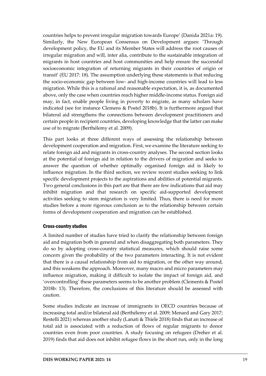countries helps to prevent irregular migration towards Europe' (Danida 2021a: 19). Similarly, the New European Consensus on Development argues: 'Through development policy, the EU and its Member States will address the root causes of irregular migration and will, inter alia, contribute to the sustainable integration of migrants in host countries and host communities and help ensure the successful socioeconomic integration of returning migrants in their countries of origin or transit' (EU 2017: 18). The assumption underlying these statements is that reducing the socio-economic gap between low- and high-income countries will lead to less migration. While this is a rational and reasonable expectation, it is, as documented above, only the case when countries reach higher middle-income status. Foreign aid may, in fact, enable people living in poverty to migrate, as many scholars have indicated (see for instance Clemens & Postel 2018b). It is furthermore argued that bilateral aid strengthens the connections between development practitioners and certain people in recipient countries, developing knowledge that the latter can make use of to migrate (Berthélemy et al. 2009).

This part looks at three different ways of assessing the relationship between development cooperation and migration. First, we examine the literature seeking to relate foreign aid and migrants in cross-country analyses. The second section looks at the potential of foreign aid in relation to the drivers of migration and seeks to answer the question of whether optimally organised foreign aid is likely to influence migration. In the third section, we review recent studies seeking to link specific development projects to the aspirations and abilities of potential migrants. Two general conclusions in this part are that there are few indications that aid may inhibit migration and that research on specific aid-supported development activities seeking to stem migration is very limited. Thus, there is need for more studies before a more rigorous conclusion as to the relationship between certain forms of development cooperation and migration can be established.

## <span id="page-21-0"></span>Cross-country studies

A limited number of studies have tried to clarify the relationship between foreign aid and migration both in general and when disaggregating both parameters. They do so by adopting cross-country statistical measures, which should raise some concern given the probability of the two parameters interacting. It is not evident that there is a causal relationship from aid to migration, or the other way around, and this weakens the approach. Moreover, many macro and micro parameters may influence migration, making it difficult to isolate the impact of foreign aid, and 'overcontrolling' these parameters seems to be another problem (Clements & Postel 2018b: 13). Therefore, the conclusions of this literature should be assessed with caution.

Some studies indicate an increase of immigrants in OECD countries because of increasing total and/or bilateral aid (Berthélemy et al. 2009; Menard and Gary 2017; Restelli 2021) whereas another study (Lanati & Thiele 2018) finds that an increase of total aid is associated with a reduction of flows of regular migrants to donor countries even from poor countries. A study focusing on refugees (Dreher et al. 2019) finds that aid does not inhibit refugee flows in the short run, only in the long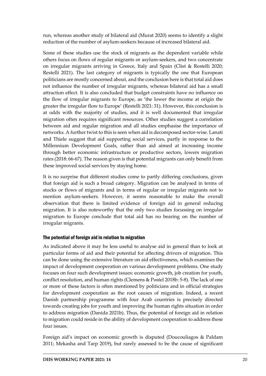run, whereas another study of bilateral aid (Murat 2020) seems to identify a slight reduction of the number of asylum-seekers because of increased bilateral aid.

Some of these studies use the stock of migrants as the dependent variable while others focus on flows of regular migrants or asylum-seekers, and two concentrate on irregular migrants arriving in Greece, Italy and Spain (Clist & Restelli 2020; Restelli 2021). The last category of migrants is typically the one that European politicians are mostly concerned about, and the conclusion here is that total aid does not influence the number of irregular migrants, whereas bilateral aid has a small attraction effect. It is also concluded that budget constraints have no influence on the flow of irregular migrants to Europe, as 'the lower the income at origin the greater the irregular flow to Europe' (Restelli 2021: 31). However, this conclusion is at odds with the majority of studies, and it is well documented that irregular migration often requires significant resources. Other studies suggest a correlation between aid and regular migration and all studies emphasise the importance of networks. A further twist to this is seen when aid is decomposed sector-wise. Lanati and Thiele suggest that aid supporting social services, partly in response to the Millennium Development Goals, rather than aid aimed at increasing income through better economic infrastructure or productive sectors, lowers migration rates (2018: 66-67). The reason given is that potential migrants can only benefit from these improved social services by staying home.

It is no surprise that different studies come to partly differing conclusions, given that foreign aid is such a broad category. Migration can be analysed in terms of stocks or flows of migrants and in terms of regular or irregular migrants not to mention asylum-seekers. However, it seems reasonable to make the overall observation that there is limited evidence of foreign aid in general reducing migration. It is also noteworthy that the only two studies focussing on irregular migration to Europe conclude that total aid has no bearing on the number of irregular migrants.

## <span id="page-22-0"></span>The potential of foreign aid in relation to migration

As indicated above it may be less useful to analyse aid in general than to look at particular forms of aid and their potential for affecting drivers of migration. This can be done using the extensive literature on aid effectiveness, which examines the impact of development cooperation on various development problems. One study focuses on four such development issues: economic growth, job creation for youth, conflict resolution, and human rights (Clemens & Postel 2018b: 5-8). The lack of one or more of these factors is often mentioned by politicians and in official strategies for development cooperation as the root causes of migration. Indeed, a recent Danish partnership programme with four Arab countries is precisely directed towards creating jobs for youth and improving the human rights situation in order to address migration (Danida 2021b). Thus, the potential of foreign aid in relation to migration could reside in the ability of development cooperation to address these four issues.

Foreign aid's impact on economic growth is disputed (Doucouliagos & Paldam 2011; Mekasha and Tarp 2019), but rarely assessed to be the cause of significant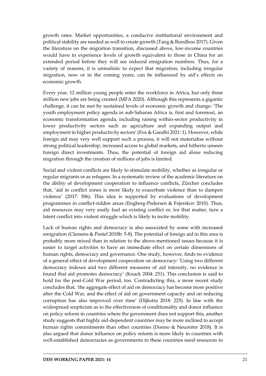growth rates. Market opportunities, a conducive institutional environment and political stability are needed as well to create growth (Tang & Bundhoo 2017). Given the literature on the migration transition, discussed above, low-income countries would have to experience levels of growth equivalent to those in China for an extended period before they will see reduced emigration numbers. Thus, for a variety of reasons, it is unrealistic to expect that migration, including irregular migration, now or in the coming years, can be influenced by aid's effects on economic growth.

Every year, 12 million young people enter the workforce in Africa, but only three million new jobs are being created (MFA 2020). Although this represents a gigantic challenge, it can be met by sustained levels of economic growth and change: 'The youth employment policy agenda in sub-Saharan Africa is, first and foremost, an economic transformation agenda, including raising within-sector productivity in lower productivity sectors such as agriculture and expanding output and employment in higher productivity sectors' (Fox & Gandhi 2021: 1). However, while foreign aid may very well support such a process, it will not materialise without strong political leadership, increased access to global markets, and hitherto unseen foreign direct investments. Thus, the potential of foreign aid alone reducing migration through the creation of millions of jobs is limited.

Social and violent conflicts are likely to stimulate mobility, whether as irregular or regular migrants or as refugees. In a systematic review of the academic literature on the ability of development cooperation to influence conflicts, Zürcher concludes that, 'aid in conflict zones is more likely to exacerbate violence than to dampen violence' (2017: 506). This idea is supported by evaluations of development programmes in conflict-ridden areas (Engberg-Pedersen & Fejerskov 2010). Thus, aid resources may very easily fuel an existing conflict or, for that matter, turn a latent conflict into violent struggle which is likely to incite mobility.

Lack of human rights and democracy is also associated by some with increased emigration (Clemens & Postel 2018b: 5-8). The potential of foreign aid in this area is probably more mixed than in relation to the above-mentioned issues because it is easier to target activities to have an immediate effect on certain dimensions of human rights, democracy and governance. One study, however, finds no evidence of a general effect of development cooperation on democracy: 'Using two different democracy indexes and two different measures of aid intensity, no evidence is found that aid promotes democracy' (Knack 2004: 251). This conclusion is said to hold for the post-Cold War period, too. Contradicting this, a more recent study concludes that, 'the aggregate effect of aid on democracy has become more positive after the Cold War, and the effect of aid on government capacity and on reducing corruption has also improved over time' (Dijkstra 2018: 225). In line with the widespread scepticism as to the effectiveness of conditionality and donor influence on policy reform in countries where the government does not support this, another study suggests that highly aid-dependent countries may be more inclined to accept human rights commitments than other countries (Donno & Neureiter 2018). It is also argued that donor influence on policy reform is more likely in countries with well-established democracies as governments in these countries need resources to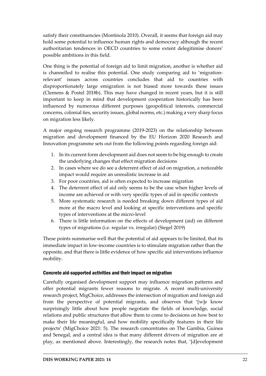satisfy their constituencies (Montinola 2010). Overall, it seems that foreign aid may hold some potential to influence human rights and democracy although the recent authoritarian tendences in OECD countries to some extent delegitimise donors' possible ambitions in this field.

One thing is the potential of foreign aid to limit migration, another is whether aid is channelled to realise this potential. One study comparing aid to 'migrationrelevant' issues across countries concludes that aid to countries with disproportionately large emigration is not biased more towards these issues (Clemens & Postel 2018b). This may have changed in recent years, but it is still important to keep in mind that development cooperation historically has been influenced by numerous different purposes (geopolitical interests, commercial concerns, colonial ties, security issues, global norms, etc.) making a very sharp focus on migration less likely.

A major ongoing research programme (2019-2023) on the relationship between migration and development financed by the EU Horizon 2020 Research and Innovation programme sets out from the following points regarding foreign aid:

- 1. In its current form development aid does not seem to be big enough to create the underlying changes that effect migration decisions
- 2. In cases where we do see a deterrent effect of aid on migration, a noticeable impact would require an unrealistic increase in aid
- 3. For poor countries, aid is often expected to increase migration
- 4. The deterrent effect of aid only seems to be the case when higher levels of income are achieved or with very specific types of aid in specific contexts
- 5. More systematic research is needed breaking down different types of aid more at the macro level and looking at specific interventions and specific types of interventions at the micro-level
- 6. There is little information on the effects of development (aid) on different types of migrations (i.e. regular vs. irregular) (Siegel 2019)

These points summarise well that the potential of aid appears to be limited, that its immediate impact in low-income countries is to stimulate migration rather than the opposite, and that there is little evidence of how specific aid interventions influence mobility.

## <span id="page-24-0"></span>Concrete aid-supported activities and their impact on migration

Carefully organised development support may influence migration patterns and offer potential migrants fewer reasons to migrate. A recent multi-university research project, MigChoice, addresses the intersection of migration and foreign aid from the perspective of potential migrants, and observes that '[w]e know surprisingly little about how people negotiate the fields of knowledge, social relations and public structures that allow them to come to decisions on how best to make their life meaningful, and how mobility specifically features in their life projects' (MigChoice 2021: 5). The research concentrates on The Gambia, Guinea and Senegal, and a central idea is that many different drivers of migration are at play, as mentioned above. Interestingly, the research notes that, '[d]evelopment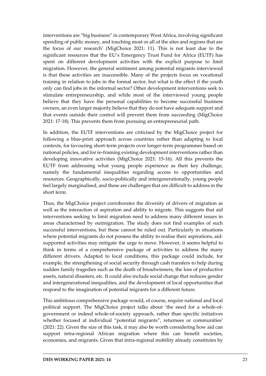interventions are "big business" in contemporary West Africa, involving significant spending of public money, and touching most or all of the sites and regions that are the focus of our research' (MigChoice 2021: 11). This is not least due to the significant resources that the EU's Emergency Trust Fund for Africa (EUTF) has spent on different development activities with the explicit purpose to limit migration. However, the general sentiment among potential migrants interviewed is that these activities are inaccessible. Many of the projects focus on vocational training in relation to jobs in the formal sector, but what is the effect if the youth only can find jobs in the informal sector? Other development interventions seek to stimulate entrepreneurship, and while most of the interviewed young people believe that they have the personal capabilities to become successful business owners, an even larger majority believe that they do not have adequate support and that events outside their control will prevent them from succeeding (MigChoice 2021: 17-18). This prevents them from pursuing an entrepreneurial path.

In addition, the EUTF interventions are criticised by the MigChoice project for following a blue-print approach across countries rather than adapting to local contexts, for favouring short-term projects over longer-term programmes based on national policies, and for re-framing existing development interventions rather than developing innovative activities (MigChoice 2021: 15-16). All this prevents the EUTF from addressing what young people experience as their key challenge, namely the fundamental inequalities regarding access to opportunities and resources. Geographically, socio-politically and intergenerationally, young people feel largely marginalised, and these are challenges that are difficult to address in the short term.

Thus, the MigChoice project corroborates the diversity of drivers of migration as well as the interaction of aspiration and ability to migrate. This suggests that aid interventions seeking to limit migration need to address many different issues in areas characterised by outmigration. The study does not find examples of such successful interventions, but these cannot be ruled out. Particularly in situations where potential migrants do not possess the ability to realise their aspirations, aidsupported activities may mitigate the urge to move. However, it seems helpful to think in terms of a comprehensive package of activities to address the many different drivers. Adapted to local conditions, this package could include, for example, the strengthening of social security through cash transfers to help during sudden family tragedies such as the death of breadwinners, the loss of productive assets, natural disasters, etc. It could also include social change that reduces gender and intergenerational inequalities, and the development of local opportunities that respond to the imagination of potential migrants for a different future.

This ambitious comprehensive package would, of course, require national and local political support. The MigChoice project talks about 'the need for a whole-ofgovernment or indeed whole-of-society approach, rather than specific initiatives whether focused at individual "potential migrants", returnees or communities' (2021: 22). Given the size of this task, it may also be worth considering how aid can support intra-regional African migration where this can benefit societies, economies, and migrants. Given that intra-regional mobility already constitutes by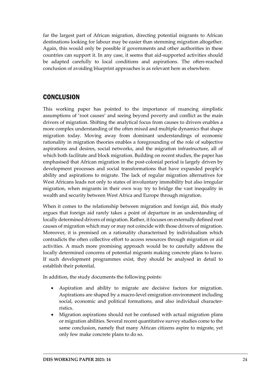far the largest part of African migration, directing potential migrants to African destinations looking for labour may be easier than stemming migration altogether. Again, this would only be possible if governments and other authorities in these countries can support it. In any case, it seems that aid-supported activities should be adapted carefully to local conditions and aspirations. The often-reached conclusion of avoiding blueprint approaches is as relevant here as elsewhere.

## <span id="page-26-0"></span>**CONCLUSION**

This working paper has pointed to the importance of nuancing simplistic assumptions of 'root causes' and seeing beyond poverty and conflict as the main drivers of migration. Shifting the analytical focus from causes to drivers enables a more complex understanding of the often mixed and multiple dynamics that shape migration today. Moving away from dominant understandings of economic rationality in migration theories enables a foregrounding of the role of subjective aspirations and desires, social networks, and the migration infrastructure, all of which both facilitate and block migration. Building on recent studies, the paper has emphasised that African migration in the post-colonial period is largely driven by development processes and social transformations that have expanded people's ability and aspirations to migrate. The lack of regular migration alternatives for West Africans leads not only to states of involuntary immobility but also irregular migration, when migrants in their own way try to bridge the vast inequality in wealth and security between West Africa and Europe through migration.

When it comes to the relationship between migration and foreign aid, this study argues that foreign aid rarely takes a point of departure in an understanding of locally determined drivers of migration. Rather, it focuses on externally defined root causes of migration which may or may not coincide with those drivers of migration. Moreover, it is premised on a rationality characterised by individualism which contradicts the often collective effort to access resources through migration or aid activities. A much more promising approach would be to carefully address the locally determined concerns of potential migrants making concrete plans to leave. If such development programmes exist, they should be analysed in detail to establish their potential.

In addition, the study documents the following points:

- Aspiration and ability to migrate are decisive factors for migration. Aspirations are shaped by a macro-level emigration environment including social, economic and political formations, and also individual characterristics.
- Migration aspirations should not be confused with actual migration plans or migration abilities. Several recent quantitative survey studies come to the same conclusion, namely that many African citizens aspire to migrate, yet only few make concrete plans to do so.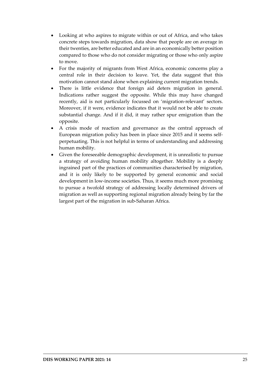- Looking at who aspires to migrate within or out of Africa, and who takes concrete steps towards migration, data show that people are on average in their twenties, are better educated and are in an economically better position compared to those who do not consider migrating or those who only aspire to move.
- For the majority of migrants from West Africa, economic concerns play a central role in their decision to leave. Yet, the data suggest that this motivation cannot stand alone when explaining current migration trends.
- There is little evidence that foreign aid deters migration in general. Indications rather suggest the opposite. While this may have changed recently, aid is not particularly focussed on 'migration-relevant' sectors. Moreover, if it were, evidence indicates that it would not be able to create substantial change. And if it did, it may rather spur emigration than the opposite.
- A crisis mode of reaction and governance as the central approach of European migration policy has been in place since 2015 and it seems selfperpetuating. This is not helpful in terms of understanding and addressing human mobility.
- Given the foreseeable demographic development, it is unrealistic to pursue a strategy of avoiding human mobility altogether. Mobility is a deeply ingrained part of the practices of communities characterised by migration, and it is only likely to be supported by general economic and social development in low-income societies. Thus, it seems much more promising to pursue a twofold strategy of addressing locally determined drivers of migration as well as supporting regional migration already being by far the largest part of the migration in sub-Saharan Africa.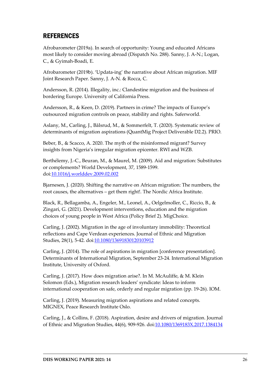# <span id="page-28-0"></span>REFERENCES

Afrobarometer (2019a). In search of opportunity: Young and educated Africans most likely to consider moving abroad (Dispatch No. 288). Sanny, J. A-N.; Logan, C., & Gyimah-Boadi, E.

Afrobarometer (2019b). 'Updata-ing' the narrative about African migration. MIF Joint Research Paper. Sanny, J. A-N. & Rocca, C.

Andersson, R. (2014). Illegality, inc.: Clandestine migration and the business of bordering Europe. University of California Press.

Andersson, R., & Keen, D. (2019). Partners in crime? The impacts of Europe's outsourced migration controls on peace, stability and rights. Saferworld.

Aslany, M., Carling, J., Bålsrud, M., & Sommerfelt, T. (2020). Systematic review of determinants of migration aspirations (QuantMig Project Deliverable D2.2). PRIO.

Beber, B., & Scacco, A. 2020. The myth of the misinformed migrant? Survey insights from Nigeria's irregular migration epicenter. RWI and WZB.

Berthélemy, J.-C., Beuran, M., & Maurel, M. (2009). Aid and migration: Substitutes or complements? World Development, 37, 1589-1599. doi[:10.1016/j.worlddev.2009.02.002](https://doi.org/10.1016/j.worlddev.2009.02.002)

Bjarnesen, J. (2020). Shifting the narrative on African migration: The numbers, the root causes, the alternatives – get them right!. The Nordic Africa Institute.

Black, R., Bellagamba, A., Engeler, M., Leonel, A., Oelgelmoller, C., Riccio, B., & Zingari, G. (2021). Development interventions, education and the migration choices of young people in West Africa (Policy Brief 2). MigChoice.

Carling, J. (2002). Migration in the age of involuntary immobility: Theoretical reflections and Cape Verdean experiences. Journal of Ethnic and Migration Studies, 28(1), 5-42. doi[:10.1080/13691830120103912](https://doi.org/10.1080/13691830120103912)

Carling, J. (2014). The role of aspirations in migration [conference presentation]. Determinants of International Migration, September 23-24. International Migration Institute, University of Oxford.

Carling, J. (2017). How does migration arise?. In M. McAuliffe, & M. Klein Solomon (Eds.), Migration research leaders' syndicate: Ideas to inform international cooperation on safe, orderly and regular migration (pp. 19-26). IOM.

Carling, J. (2019). Measuring migration aspirations and related concepts. MIGNEX, Peace Research Institute Oslo.

Carling, J., & Collins, F. (2018). Aspiration, desire and drivers of migration. Journal of Ethnic and Migration Studies, 44(6), 909-926. doi[:10.1080/1369183X.2017.1384134](https://doi.org/10.1080/1369183X.2017.1384134)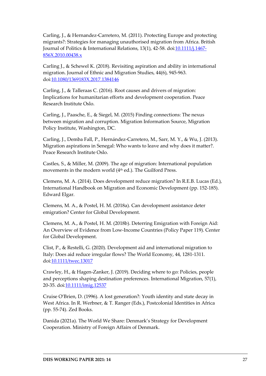Carling, J., & Hernandez-Carretero, M. (2011). Protecting Europe and protecting migrants?: Strategies for managing unauthorised migration from Africa. British Journal of Politics & International Relations, 13(1), 42-58. doi[:10.1111/j.1467-](https://doi.org/10.1111/j.1467-856X.2010.00438.x) [856X.2010.00438.x](https://doi.org/10.1111/j.1467-856X.2010.00438.x)

Carling J., & Schewel K. (2018). Revisiting aspiration and ability in international migration. Journal of Ethnic and Migration Studies, 44(6), 945-963. doi[:10.1080/1369183X.2017.1384146](https://doi.org/10.1080/1369183X.2017.1384146)

Carling, J., & Talleraas C. (2016). Root causes and drivers of migration: Implications for humanitarian efforts and development cooperation. Peace Research Institute Oslo.

Carling, J., Paasche, E., & Siegel, M. (2015) Finding connections: The nexus between migration and corruption. Migration Information Source, Migration Policy Institute, Washington, DC.

Carling, J., Demba Fall, P., Hernández-Carretero, M., Sarr, M. Y., & Wu, J. (2013). Migration aspirations in Senegal: Who wants to leave and why does it matter?. Peace Research Institute Oslo.

Castles, S., & Miller, M. (2009). The age of migration: International population movements in the modern world (4th ed.). The Guilford Press.

Clemens, M. A. (2014). Does development reduce migration? In R.E.B. Lucas (Ed.), International Handbook on Migration and Economic Development (pp. 152-185). Edward Elgar.

Clemens, M. A., & Postel, H. M. (2018a). Can development assistance deter emigration? Center for Global Development.

Clemens, M. A., & Postel, H. M. (2018b). Deterring Emigration with Foreign Aid: An Overview of Evidence from Low-Income Countries (Policy Paper 119). Center for Global Development.

Clist, P., & Restelli, G. (2020). Development aid and international migration to Italy: Does aid reduce irregular flows? The World Economy, 44, 1281-1311. doi[:10.1111/twec.13017](https://doi.org/10.1111/twec.13017)

Crawley, H., & Hagen-Zanker, J. (2019). Deciding where to go: Policies, people and perceptions shaping destination preferences. International Migration, 57(1), 20-35. doi[:10.1111/imig.12537](https://doi.org/10.1111/imig.12537)

Cruise O'Brien, D. (1996). A lost generation?: Youth identity and state decay in West Africa. In R. Werbner, & T. Ranger (Eds.), Postcolonial Identities in Africa (pp. 55-74). Zed Books.

Danida (2021a). The World We Share: Denmark's Strategy for Development Cooperation. Ministry of Foreign Affairs of Denmark.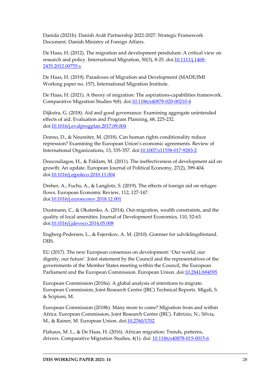Danida (2021b). Danish Arab Partnership 2022-2027: Strategic Framework Document. Danish Ministry of Foreign Affairs.

De Haas, H. (2012). The migration and development pendulum: A critical view on research and policy. International Migration, 50(3), 8-25. doi[:10.1111/j.1468-](https://doi.org/10.1111/j.1468-2435.2012.00755.x) [2435.2012.00755.x](https://doi.org/10.1111/j.1468-2435.2012.00755.x)

De Haas, H. (2019). Paradoxes of Migration and Development (MADE/IMI Working paper no. 157). International Migration Institute.

De Haas, H. (2021). A theory of migration: The aspirations-capabilities framework. Comparative Migration Studies 9(8). doi[:10.1186/s40878-020-00210-4](https://doi.org/10.1186/s40878-020-00210-4)

Dijkstra, G. (2018). Aid and good governance: Examining aggregate unintended effects of aid. Evaluation and Program Planning, 68, 225-232. doi[:10.1016/j.evalprogplan.2017.09.004](https://doi.org/10.1016/j.evalprogplan.2017.09.004)

Donno, D., & Neureiter, M. (2018). Can human rights conditionality reduce repression? Examining the European Union's economic agreements. Review of International Organizations, 13, 335-357. doi[:10.1007/s11558-017-9283-2](https://doi.org/10.1007/s11558-017-9283-2)

Doucouliagos, H., & Paldam, M. (2011). The ineffectiveness of development aid on growth: An update. European Journal of Political Economy, 27(2), 399-404. doi[:10.1016/j.ejpoleco.2010.11.004](https://doi.org/10.1016/j.ejpoleco.2010.11.004)

Dreher, A., Fuchs, A., & Langlotz, S. (2019). The effects of foreign aid on refugee flows. European Economic Review, 112, 127-147. doi[:10.1016/j.euroecorev.2018.12.001](https://doi.org/10.1016/j.euroecorev.2018.12.001)

Dustmann, C., & Okatenko, A. (2014). Out-migration, wealth constraints, and the quality of local amenities. Journal of Development Economics, 110, 52-63. doi[:10.1016/j.jdeveco.2014.05.008](https://doi.org/10.1016/j.jdeveco.2014.05.008)

Engberg-Pedersen, L., & Fejerskov, A. M. (2010). Grænser for udviklingsbistand. DIIS.

EU (2017). The new European consensus on development: 'Our world, our dignity, our future'. Joint statement by the Council and the representatives of the governments of the Member States meeting within the Council, the European Parliament and the European Commission. European Union. doi[:10.2841/694595](https://doi.org/10.2841/694595)

European Commission (2018a). A global analysis of intentions to migrate. European Commission, Joint Research Centre (JRC) Technical Reports. Migali, S. & Scipioni, M.

European Commission (2018b). Many more to come? Migration from and within Africa. European Commission, Joint Research Centre (JRC). Fabrizio, N.; Silvia, M., & Rainer, M. European Union. doi[:10.2760/1702](http://dx.doi.org/10.2760/1702)

Flahaux, M. L., & De Haas, H. (2016). African migration: Trends, patterns, drivers. Comparative Migration Studies, 4(1). doi: [10.1186/s40878-015-0015-6](https://doi.org/10.1186/s40878-015-0015-6)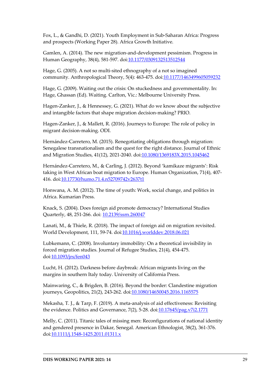Fox, L., & Gandhi, D. (2021). Youth Employment in Sub-Saharan Africa: Progress and prospects (Working Paper 28). Africa Growth Initiative.

Gamlen, A. (2014). The new migration-and-development pessimism. Progress in Human Geography, 38(4), 581-597. doi[:10.1177/0309132513512544](https://doi.org/10.1177/0309132513512544)

Hage, G. (2005). A not so multi-sited ethnography of a not so imagined community. Anthropological Theory, 5(4): 463-475. doi[:10.1177/1463499605059232](https://doi.org/10.1177/1463499605059232)

Hage, G. (2009). Waiting out the crisis: On stuckedness and governmentality. In: Hage, Ghassan (Ed). Waiting. Carlton, Vic.: Melbourne University Press.

Hagen-Zanker, J., & Hennessey, G. (2021). What do we know about the subjective and intangible factors that shape migration decision-making? PRIO.

Hagen-Zanker, J., & Mallett, R. (2016). Journeys to Europe: The role of policy in migrant decision-making. ODI.

Hernández-Carretero, M. (2015). Renegotiating obligations through migration: Senegalese transnationalism and the quest for the right distance. Journal of Ethnic and Migration Studies, 41(12), 2021-2040. doi[:10.1080/1369183X.2015.1045462](https://doi.org/10.1080/1369183X.2015.1045462)

Hernández-Carretero, M., & Carling, J. (2012). Beyond 'kamikaze migrants': Risk taking in West African boat migration to Europe. Human Organization, 71(4), 407- 416. doi[:10.17730/humo.71.4.n52709742v2637t1](http://dx.doi.org/10.17730/humo.71.4.n52709742v2637t1)

Honwana, A. M. (2012). The time of youth: Work, social change, and politics in Africa. Kumarian Press.

Knack, S. (2004). Does foreign aid promote democracy? International Studies Quarterly, 48, 251-266. doi: [10.2139/ssrn.260047](http://dx.doi.org/10.2139/ssrn.260047)

Lanati, M., & Thiele, R. (2018). The impact of foreign aid on migration revisited. World Development, 111, 59-74. doi[:10.1016/j.worlddev.2018.06.021](https://doi.org/10.1016/j.worlddev.2018.06.021)

Lubkemann, C. (2008). Involuntary immobility: On a theoretical invisibility in forced migration studies. Journal of Refugee Studies, 21(4), 454-475. doi[:10.1093/jrs/fen043](https://doi.org/10.1093/jrs/fen043)

Lucht, H. (2012). Darkness before daybreak: African migrants living on the margins in southern Italy today. University of California Press.

Mainwaring, C., & Brigden, B. (2016). Beyond the border: Clandestine migration journeys, Geopolitics, 21(2), 243-262. doi[:10.1080/14650045.2016.1165575](https://doi.org/10.1080/14650045.2016.1165575)

Mekasha, T. J., & Tarp, F. (2019). A meta-analysis of aid effectiveness: Revisiting the evidence. Politics and Governance, 7(2), 5-28. doi: 10.17645/pag.v7i2.1771

Melly, C. (2011). Titanic tales of missing men: Reconfigurations of national identity and gendered presence in Dakar, Senegal. American Ethnologist, 38(2), 361-376. doi[:10.1111/j.1548-1425.2011.01311.x](http://dx.doi.org/10.1111/j.1548-1425.2011.01311.x)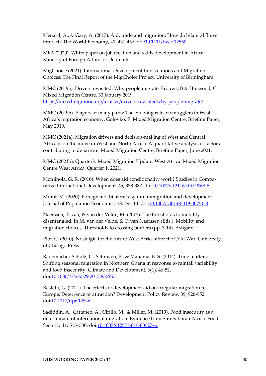Menard, A., & Gary, A. (2017). Aid, trade and migration: How do bilateral flows interact? The World Economy, 41, 431-456. do[i:10.1111/twec.12550](https://doi.org/10.1111/twec.12550)

MFA (2020). White paper on job creation and skills development in Africa. Ministry of Foreign Affairs of Denmark.

MigChoice (2021). International Development Interventions and Migration Choices: The Final Report of the MigChoice Project. University of Birmingham.

MMC (2019a). Drivers revisited: Why people migrate. Frouws, B & Horwood, C. Mixed Migration Centre. 30 January 2019. <https://mixedmigration.org/articles/drivers-revisitedwhy-people-migrate/>

MMC (2019b). Players of many parts: The evolving role of smugglers in West Africa's migration economy. Golovko, E. Mixed Migration Centre, Briefing Paper, May 2019.

MMC (2021a). Migration drivers and decision-making of West and Central Africans on the move in West and North Africa. A quantitative analysis of factors contributing to departure. Mixed Migration Centre, Briefing Paper, June 2021.

MMC (2021b). Quarterly Mixed Migration Update: West Africa. Mixed Migration Centre West Africa. Quarter 1, 2021.

Montinola, G. R. (2010). When does aid conditionality work? Studies in Comparative International Development, 45, 358-382. doi[:10.1007/s12116-010-9068-6](http://dx.doi.org/10.1007/s12116-010-9068-6)

Murat, M. (2020). Foreign aid, bilateral asylum immigration and development. Journal of Population Economics, 33, 79-114. doi[:10.1007/s00148-019-00751-8](https://doi.org/10.1007/s00148-019-00751-8)

Naerssen, T. van, & van der Velde, M. (2015). The thresholds to mobility disentangled. In M. van der Velde, & T. van Naerssen (Eds.), Mobility and migration choices. Thresholds to crossing borders (pp. 3-14). Ashgate.

Piot, C. (2010). Nostalgia for the future West Africa after the Cold War. University of Chicago Press.

Rademacher-Schulz, C., Schraven, B., & Mahama, E. S. (2014). Time matters: Shifting seasonal migration in Northern Ghana in response to rainfall variability and food insecurity. Climate and Development, 6(1), 46-52. doi[:10.1080/17565529.2013.830955](http://dx.doi.org/10.1080/17565529.2013.830955)

Restelli, G. (2021). The effects of development aid on irregular migration to Europe: Deterrence or attraction? Development Policy Review, 39, 926-952. doi[:10.1111/dpr.12546](https://doi.org/10.1111/dpr.12546)

Sadiddin, A., Cattaneo, A., Cirillo, M., & Miller, M. (2019). Food insecurity as a determinant of international migration: Evidence from Sub-Saharan Africa. Food Security 11: 515–530. doi[:10.1007/s12571-019-00927-w](https://doi.org/10.1007/s12571-019-00927-w)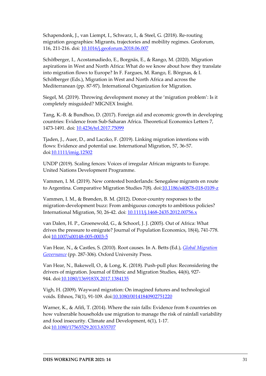Schapendonk, J., van Liempt, I., Schwarz, I., & Steel, G. (2018). Re-routing migration geographies: Migrants, trajectories and mobility regimes. Geoforum, 116, 211-216. doi: [10.1016/j.geoforum.2018.06.007](https://doi.org/10.1016/j.geoforum.2018.06.007)

Schöfberger, I., Acostamadiedo, E., Borgnäs, E., & Rango, M. (2020). Migration aspirations in West and North Africa: What do we know about how they translate into migration flows to Europe? In F. Fargues, M. Rango, E. Börgnas, & I. Schöfberger (Eds.), Migration in West and North Africa and across the Mediterranean (pp. 87-97). International Organization for Migration.

Siegel, M. (2019). Throwing development money at the 'migration problem': Is it completely misguided? MIGNEX Insight.

Tang, K.-B. & Bundhoo, D. (2017). Foreign aid and economic growth in developing countries: Evidence from Sub-Saharan Africa. Theoretical Economics Letters 7, 1473-1491. doi: [10.4236/tel.2017.75099](http://dx.doi.org/10.4236/tel.2017.75099)

Tjaden, J., Auer, D., and Laczko, F. (2019). Linking migration intentions with flows: Evidence and potential use. International Migration, 57, 36-57. doi[:10.1111/imig.12502](https://doi.org/10.1111/imig.12502)

UNDP (2019). Scaling fences: Voices of irregular African migrants to Europe. United Nations Development Programme.

Vammen, I. M. (2019). New contested borderlands: Senegalese migrants en route to Argentina. Comparative Migration Studies 7(8). doi: 10.1186/s40878-018-0109-z

Vammen, I. M., & Brønden, B. M. (2012). Donor-country responses to the migration-development buzz: From ambiguous concepts to ambitious policies? International Migration, 50, 26-42. doi: [10.1111/j.1468-2435.2012.00756.x](https://doi.org/10.1111/j.1468-2435.2012.00756.x)

van Dalen, H. P., Groenewold, G., & Schoorl, J. J. (2005). Out of Africa: What drives the pressure to emigrate? Journal of Population Economics, 18(4), 741-778. doi[:10.1007/s00148-005-0003-5](http://dx.doi.org/10.1007/s00148-005-0003-5)

Van Hear, N., & Castles, S. (2010). Root causes. In A. Betts (Ed.), *[Global Migration](http://ukcatalogue.oup.com/product/9780199653805.do)  [Governance](http://ukcatalogue.oup.com/product/9780199653805.do)* (pp. 287-306). Oxford University Press.

Van Hear, N., Bakewell, O., & Long, K. (2018). Push-pull plus: Reconsidering the drivers of migration. Journal of Ethnic and Migration Studies, 44(6), 927- 944. doi[:10.1080/1369183X.2017.1384135](https://doi.org/10.1080/1369183X.2017.1384135)

Vigh, H. (2009). Wayward migration: On imagined futures and technological voids. Ethnos, 74(1), 91-109. doi[:10.1080/00141840902751220](https://doi.org/10.1080/00141840902751220)

Warner, K., & Afifi, T. (2014). Where the rain falls: Evidence from 8 countries on how vulnerable households use migration to manage the risk of rainfall variability and food insecurity. Climate and Development, 6(1), 1-17. doi[:10.1080/17565529.2013.835707](https://doi.org/10.1080/17565529.2013.835707)